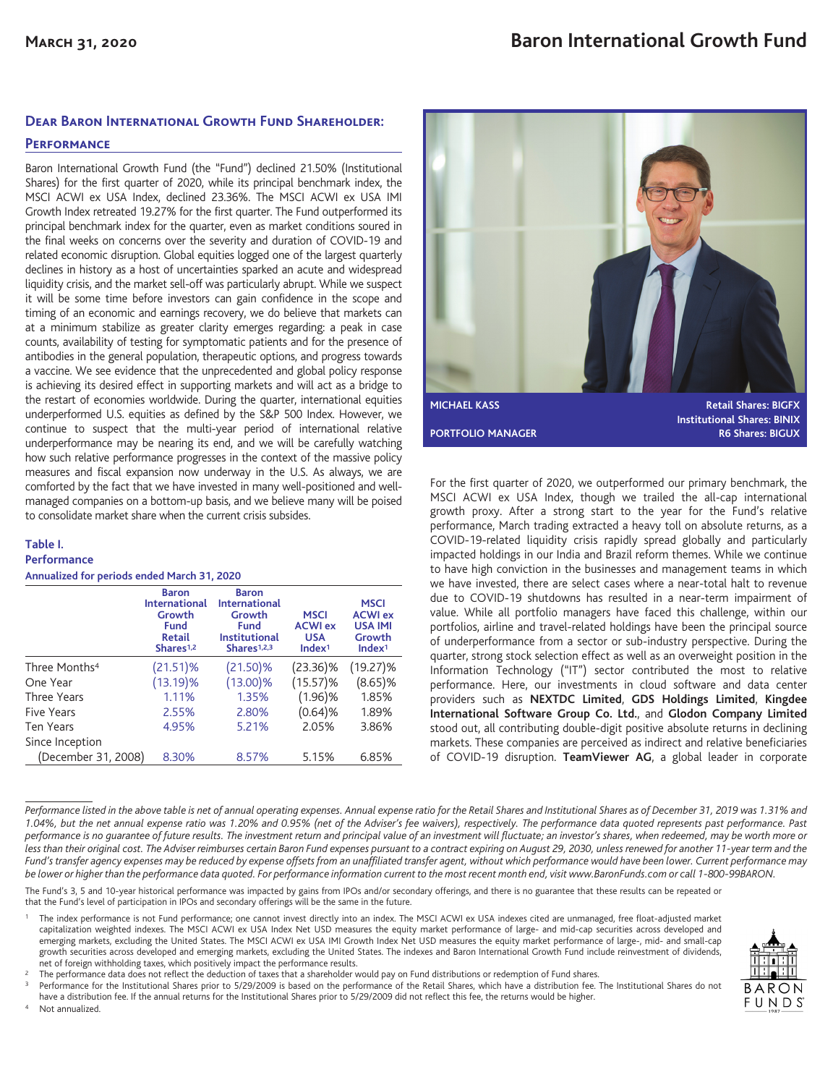# **Dear Baron International Growth Fund Shareholder:**

# **Performance**

Baron International Growth Fund (the "Fund") declined 21.50% (Institutional Shares) for the first quarter of 2020, while its principal benchmark index, the MSCI ACWI ex USA Index, declined 23.36%. The MSCI ACWI ex USA IMI Growth Index retreated 19.27% for the first quarter. The Fund outperformed its principal benchmark index for the quarter, even as market conditions soured in the final weeks on concerns over the severity and duration of COVID-19 and related economic disruption. Global equities logged one of the largest quarterly declines in history as a host of uncertainties sparked an acute and widespread liquidity crisis, and the market sell-off was particularly abrupt. While we suspect it will be some time before investors can gain confidence in the scope and timing of an economic and earnings recovery, we do believe that markets can at a minimum stabilize as greater clarity emerges regarding: a peak in case counts, availability of testing for symptomatic patients and for the presence of antibodies in the general population, therapeutic options, and progress towards a vaccine. We see evidence that the unprecedented and global policy response is achieving its desired effect in supporting markets and will act as a bridge to the restart of economies worldwide. During the quarter, international equities underperformed U.S. equities as defined by the S&P 500 Index. However, we continue to suspect that the multi-year period of international relative underperformance may be nearing its end, and we will be carefully watching how such relative performance progresses in the context of the massive policy measures and fiscal expansion now underway in the U.S. As always, we are comforted by the fact that we have invested in many well-positioned and wellmanaged companies on a bottom-up basis, and we believe many will be poised to consolidate market share when the current crisis subsides.

#### **Table I. Performance**

**Annualized for periods ended March 31, 2020**

|                           | <b>Baron</b><br><b>International</b><br>Growth<br><b>Fund</b><br><b>Retail</b><br>Shares <sup>1,2</sup> | <b>Baron</b><br><b>International</b><br>Growth<br>Fund<br><b>Institutional</b><br>Shares <sup>1,2,3</sup> | <b>MSCI</b><br><b>ACWI</b> ex<br><b>USA</b><br>Index <sup>1</sup> | <b>MSCI</b><br><b>ACWI</b> ex<br><b>USA IMI</b><br>Growth<br>Index <sup>1</sup> |
|---------------------------|---------------------------------------------------------------------------------------------------------|-----------------------------------------------------------------------------------------------------------|-------------------------------------------------------------------|---------------------------------------------------------------------------------|
| Three Months <sup>4</sup> | (21.51)%                                                                                                | (21.50)%                                                                                                  | $(23.36)\%$                                                       | $(19.27)\%$                                                                     |
| One Year                  | (13.19)%                                                                                                | (13.00)%                                                                                                  | $(15.57)\%$                                                       | $(8.65)\%$                                                                      |
| <b>Three Years</b>        | 1.11%                                                                                                   | 1.35%                                                                                                     | (1.96)%                                                           | 1.85%                                                                           |
| <b>Five Years</b>         | 2.55%                                                                                                   | 2.80%                                                                                                     | (0.64)%                                                           | 1.89%                                                                           |
| Ten Years                 | 4.95%                                                                                                   | 5.21%                                                                                                     | 2.05%                                                             | 3.86%                                                                           |
| Since Inception           |                                                                                                         |                                                                                                           |                                                                   |                                                                                 |
| (December 31, 2008)       | 8.30%                                                                                                   | 8.57%                                                                                                     | 5.15%                                                             | 6.85%                                                                           |



For the first quarter of 2020, we outperformed our primary benchmark, the MSCI ACWI ex USA Index, though we trailed the all-cap international growth proxy. After a strong start to the year for the Fund's relative performance, March trading extracted a heavy toll on absolute returns, as a COVID-19-related liquidity crisis rapidly spread globally and particularly impacted holdings in our India and Brazil reform themes. While we continue to have high conviction in the businesses and management teams in which we have invested, there are select cases where a near-total halt to revenue due to COVID-19 shutdowns has resulted in a near-term impairment of value. While all portfolio managers have faced this challenge, within our portfolios, airline and travel-related holdings have been the principal source of underperformance from a sector or sub-industry perspective. During the quarter, strong stock selection effect as well as an overweight position in the Information Technology ("IT") sector contributed the most to relative performance. Here, our investments in cloud software and data center providers such as **NEXTDC Limited**, **GDS Holdings Limited**, **Kingdee International Software Group Co. Ltd.**, and **Glodon Company Limited** stood out, all contributing double-digit positive absolute returns in declining markets. These companies are perceived as indirect and relative beneficiaries of COVID-19 disruption. **TeamViewer AG**, a global leader in corporate

*Performance listed in the above table is net of annual operating expenses. Annual expense ratio for the Retail Shares and Institutional Shares as of December 31, 2019 was 1.31% and 1.04%, but the net annual expense ratio was 1.20% and 0.95% (net of the Adviser's fee waivers), respectively. The performance data quoted represents past performance. Past performance is no guarantee of future results. The investment return and principal value of an investment will fluctuate; an investor's shares, when redeemed, may be worth more or less than their original cost. The Adviser reimburses certain Baron Fund expenses pursuant to a contract expiring on August 29, 2030, unless renewed for another 11-year term and the Fund's transfer agency expenses may be reduced by expense offsets from an unaffiliated transfer agent, without which performance would have been lower. Current performance may be lower or higher than the performance data quoted. For performance information current to the most recent month end, visit www.BaronFunds.com or call 1-800-99BARON.*

The Fund's 3, 5 and 10-year historical performance was impacted by gains from IPOs and/or secondary offerings, and there is no guarantee that these results can be repeated or that the Fund's level of participation in IPOs and secondary offerings will be the same in the future.

The index performance is not Fund performance; one cannot invest directly into an index. The MSCI ACWI ex USA indexes cited are unmanaged, free float-adjusted market capitalization weighted indexes. The MSCI ACWI ex USA Index Net USD measures the equity market performance of large- and mid-cap securities across developed and emerging markets, excluding the United States. The MSCI ACWI ex USA IMI Growth Index Net USD measures the equity market performance of large-, mid- and small-cap growth securities across developed and emerging markets, excluding the United States. The indexes and Baron International Growth Fund include reinvestment of dividends, net of foreign withholding taxes, which positively impact the performance results.



<sup>2</sup> The performance data does not reflect the deduction of taxes that a shareholder would pay on Fund distributions or redemption of Fund shares.

Performance for the Institutional Shares prior to 5/29/2009 is based on the performance of the Retail Shares, which have a distribution fee. The Institutional Shares do not have a distribution fee. If the annual returns for the Institutional Shares prior to 5/29/2009 did not reflect this fee, the returns would be higher.

Not annualized.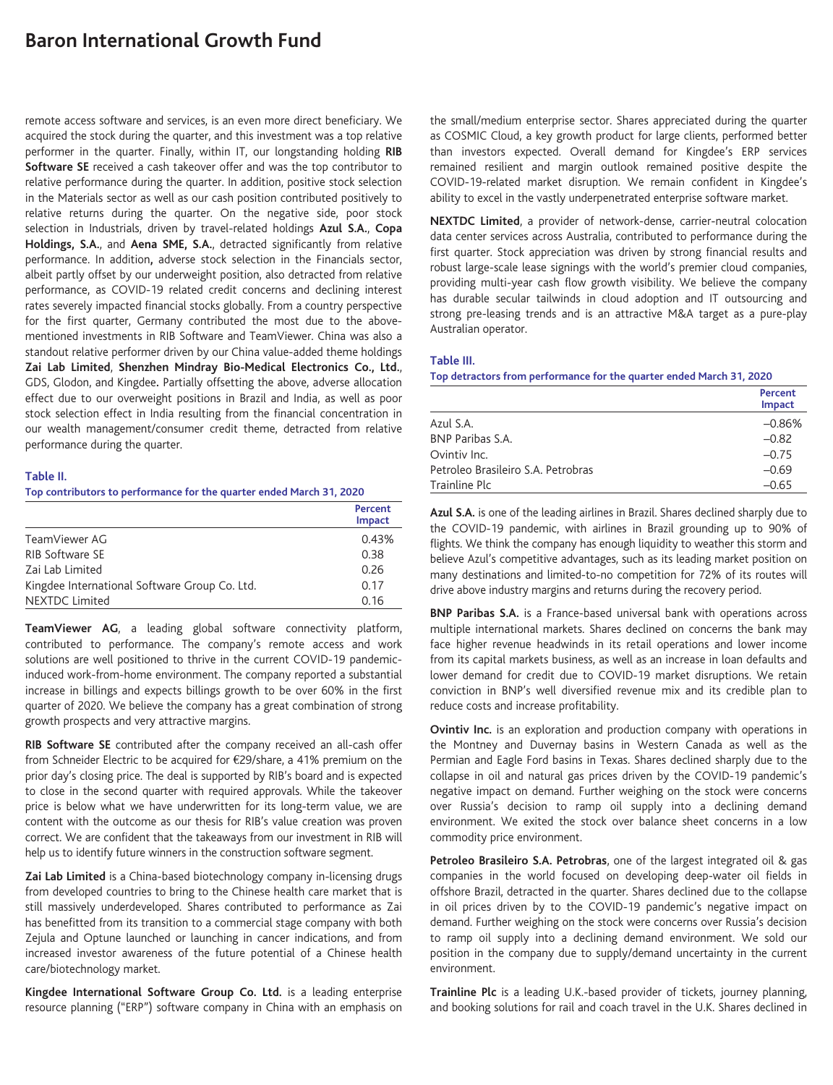# **Baron International Growth Fund**

remote access software and services, is an even more direct beneficiary. We acquired the stock during the quarter, and this investment was a top relative performer in the quarter. Finally, within IT, our longstanding holding **RIB Software SE** received a cash takeover offer and was the top contributor to relative performance during the quarter. In addition, positive stock selection in the Materials sector as well as our cash position contributed positively to relative returns during the quarter. On the negative side, poor stock selection in Industrials, driven by travel-related holdings **Azul S.A.**, **Copa Holdings, S.A.**, and **Aena SME, S.A.**, detracted significantly from relative performance. In addition**,** adverse stock selection in the Financials sector, albeit partly offset by our underweight position, also detracted from relative performance, as COVID-19 related credit concerns and declining interest rates severely impacted financial stocks globally. From a country perspective for the first quarter, Germany contributed the most due to the abovementioned investments in RIB Software and TeamViewer. China was also a standout relative performer driven by our China value-added theme holdings **Zai Lab Limited**, **Shenzhen Mindray Bio-Medical Electronics Co., Ltd.**, GDS, Glodon, and Kingdee**.** Partially offsetting the above, adverse allocation effect due to our overweight positions in Brazil and India, as well as poor stock selection effect in India resulting from the financial concentration in our wealth management/consumer credit theme, detracted from relative performance during the quarter.

### **Table II.**

#### **Top contributors to performance for the quarter ended March 31, 2020**

|                                               | Percent<br>Impact |
|-----------------------------------------------|-------------------|
| TeamViewer AG                                 | 0.43%             |
| RIB Software SE                               | 0.38              |
| Zai Lab Limited                               | 0.26              |
| Kingdee International Software Group Co. Ltd. | 0.17              |
| <b>NEXTDC Limited</b>                         | 0.16              |

**TeamViewer AG**, a leading global software connectivity platform, contributed to performance. The company's remote access and work solutions are well positioned to thrive in the current COVID-19 pandemicinduced work-from-home environment. The company reported a substantial increase in billings and expects billings growth to be over 60% in the first quarter of 2020. We believe the company has a great combination of strong growth prospects and very attractive margins.

**RIB Software SE** contributed after the company received an all-cash offer from Schneider Electric to be acquired for €29/share, a 41% premium on the prior day's closing price. The deal is supported by RIB's board and is expected to close in the second quarter with required approvals. While the takeover price is below what we have underwritten for its long-term value, we are content with the outcome as our thesis for RIB's value creation was proven correct. We are confident that the takeaways from our investment in RIB will help us to identify future winners in the construction software segment.

**Zai Lab Limited** is a China-based biotechnology company in-licensing drugs from developed countries to bring to the Chinese health care market that is still massively underdeveloped. Shares contributed to performance as Zai has benefitted from its transition to a commercial stage company with both Zejula and Optune launched or launching in cancer indications, and from increased investor awareness of the future potential of a Chinese health care/biotechnology market.

**Kingdee International Software Group Co. Ltd.** is a leading enterprise resource planning ("ERP") software company in China with an emphasis on the small/medium enterprise sector. Shares appreciated during the quarter as COSMIC Cloud, a key growth product for large clients, performed better than investors expected. Overall demand for Kingdee's ERP services remained resilient and margin outlook remained positive despite the COVID-19-related market disruption. We remain confident in Kingdee's ability to excel in the vastly underpenetrated enterprise software market.

**NEXTDC Limited**, a provider of network-dense, carrier-neutral colocation data center services across Australia, contributed to performance during the first quarter. Stock appreciation was driven by strong financial results and robust large-scale lease signings with the world's premier cloud companies, providing multi-year cash flow growth visibility. We believe the company has durable secular tailwinds in cloud adoption and IT outsourcing and strong pre-leasing trends and is an attractive M&A target as a pure-play Australian operator.

### **Table III.**

**Top detractors from performance for the quarter ended March 31, 2020**

|                                    | Percent<br>Impact |
|------------------------------------|-------------------|
| Azul S.A.                          | $-0.86%$          |
| <b>BNP Paribas S.A.</b>            | $-0.82$           |
| Ovintiv Inc.                       | $-0.75$           |
| Petroleo Brasileiro S.A. Petrobras | $-0.69$           |
| Trainline Plc                      | $-0.65$           |

**Azul S.A.** is one of the leading airlines in Brazil. Shares declined sharply due to the COVID-19 pandemic, with airlines in Brazil grounding up to 90% of flights. We think the company has enough liquidity to weather this storm and believe Azul's competitive advantages, such as its leading market position on many destinations and limited-to-no competition for 72% of its routes will drive above industry margins and returns during the recovery period.

**BNP Paribas S.A.** is a France-based universal bank with operations across multiple international markets. Shares declined on concerns the bank may face higher revenue headwinds in its retail operations and lower income from its capital markets business, as well as an increase in loan defaults and lower demand for credit due to COVID-19 market disruptions. We retain conviction in BNP's well diversified revenue mix and its credible plan to reduce costs and increase profitability.

**Ovintiv Inc.** is an exploration and production company with operations in the Montney and Duvernay basins in Western Canada as well as the Permian and Eagle Ford basins in Texas. Shares declined sharply due to the collapse in oil and natural gas prices driven by the COVID-19 pandemic's negative impact on demand. Further weighing on the stock were concerns over Russia's decision to ramp oil supply into a declining demand environment. We exited the stock over balance sheet concerns in a low commodity price environment.

**Petroleo Brasileiro S.A. Petrobras**, one of the largest integrated oil & gas companies in the world focused on developing deep-water oil fields in offshore Brazil, detracted in the quarter. Shares declined due to the collapse in oil prices driven by to the COVID-19 pandemic's negative impact on demand. Further weighing on the stock were concerns over Russia's decision to ramp oil supply into a declining demand environment. We sold our position in the company due to supply/demand uncertainty in the current environment.

**Trainline Plc** is a leading U.K.-based provider of tickets, journey planning, and booking solutions for rail and coach travel in the U.K. Shares declined in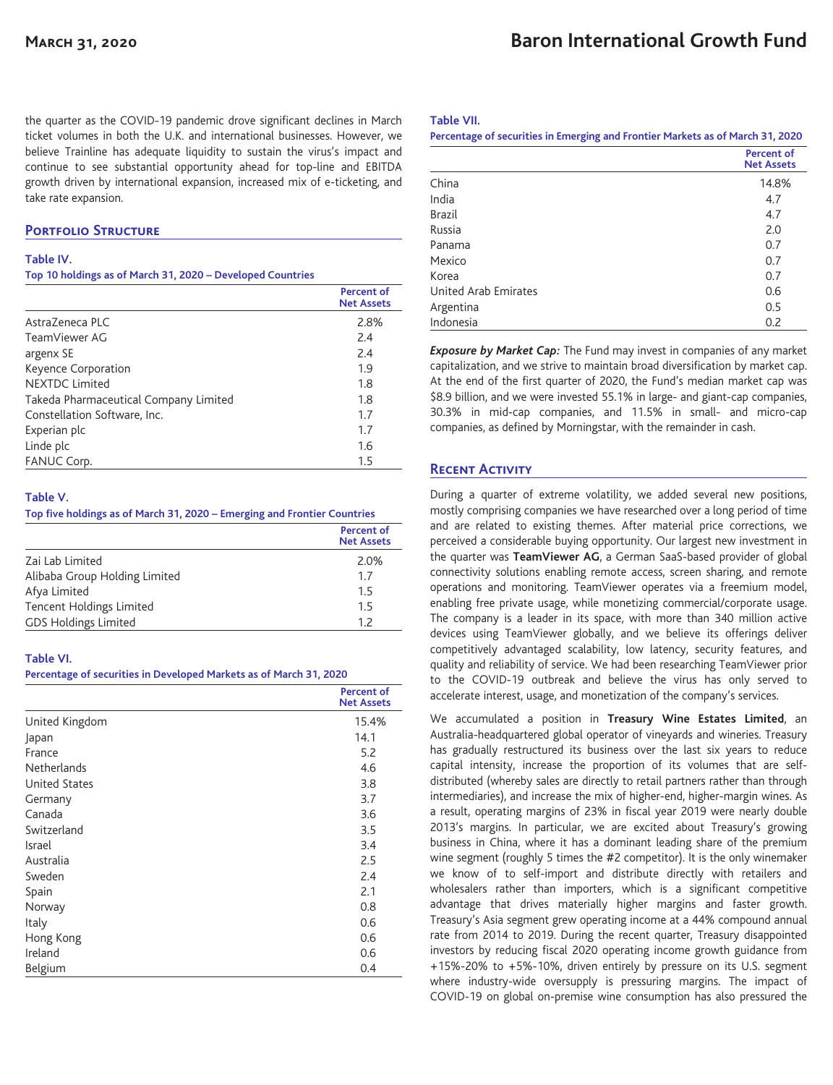the quarter as the COVID-19 pandemic drove significant declines in March ticket volumes in both the U.K. and international businesses. However, we believe Trainline has adequate liquidity to sustain the virus's impact and continue to see substantial opportunity ahead for top-line and EBITDA growth driven by international expansion, increased mix of e-ticketing, and take rate expansion.

# **Portfolio Structure**

### **Table IV.**

#### **Top 10 holdings as of March 31, 2020 – Developed Countries**

|                                       | <b>Percent of</b><br><b>Net Assets</b> |
|---------------------------------------|----------------------------------------|
| AstraZeneca PLC                       | 2.8%                                   |
| TeamViewer AG                         | 2.4                                    |
| argenx SE                             | 2.4                                    |
| Keyence Corporation                   | 1.9                                    |
| <b>NEXTDC Limited</b>                 | 1.8                                    |
| Takeda Pharmaceutical Company Limited | 1.8                                    |
| Constellation Software, Inc.          | 1.7                                    |
| Experian plc                          | 1.7                                    |
| Linde plc                             | 1.6                                    |
| FANUC Corp.                           | 1.5                                    |

## **Table V.**

#### **Top five holdings as of March 31, 2020 – Emerging and Frontier Countries**

|                               | Percent of<br><b>Net Assets</b> |
|-------------------------------|---------------------------------|
| Zai Lab Limited               | 2.0%                            |
| Alibaba Group Holding Limited | 1.7                             |
| Afya Limited                  | 1.5                             |
| Tencent Holdings Limited      | 1.5                             |
| <b>GDS Holdings Limited</b>   | 12                              |

## **Table VI.**

## **Percentage of securities in Developed Markets as of March 31, 2020**

|                      | <b>Percent of</b><br><b>Net Assets</b> |
|----------------------|----------------------------------------|
| United Kingdom       | 15.4%                                  |
| Japan                | 14.1                                   |
| France               | 5.2                                    |
| Netherlands          | 4.6                                    |
| <b>United States</b> | 3.8                                    |
| Germany              | 3.7                                    |
| Canada               | 3.6                                    |
| Switzerland          | 3.5                                    |
| Israel               | 3.4                                    |
| Australia            | 2.5                                    |
| Sweden               | 2.4                                    |
| Spain                | 2.1                                    |
| Norway               | 0.8                                    |
| Italy                | 0.6                                    |
| Hong Kong            | 0.6                                    |
| Ireland              | 0.6                                    |
| Belgium              | 0.4                                    |

### **Table VII.**

| Percentage of securities in Emerging and Frontier Markets as of March 31, 2020 |                                        |
|--------------------------------------------------------------------------------|----------------------------------------|
|                                                                                | <b>Percent of</b><br><b>Net Assets</b> |
| China                                                                          | 14.8%                                  |
| India                                                                          | 4.7                                    |
| <b>Brazil</b>                                                                  | 4.7                                    |
| Russia                                                                         | 2.0                                    |
| Panama                                                                         | 0.7                                    |
| Mexico                                                                         | 0.7                                    |
| Korea                                                                          | 0.7                                    |
| United Arab Emirates                                                           | 0.6                                    |
| Argentina                                                                      | 0.5                                    |
| Indonesia                                                                      | 0.2                                    |

*Exposure by Market Cap:* The Fund may invest in companies of any market capitalization, and we strive to maintain broad diversification by market cap. At the end of the first quarter of 2020, the Fund's median market cap was \$8.9 billion, and we were invested 55.1% in large- and giant-cap companies, 30.3% in mid-cap companies, and 11.5% in small- and micro-cap companies, as defined by Morningstar, with the remainder in cash.

# **Recent Activity**

During a quarter of extreme volatility, we added several new positions, mostly comprising companies we have researched over a long period of time and are related to existing themes. After material price corrections, we perceived a considerable buying opportunity. Our largest new investment in the quarter was **TeamViewer AG**, a German SaaS-based provider of global connectivity solutions enabling remote access, screen sharing, and remote operations and monitoring. TeamViewer operates via a freemium model, enabling free private usage, while monetizing commercial/corporate usage. The company is a leader in its space, with more than 340 million active devices using TeamViewer globally, and we believe its offerings deliver competitively advantaged scalability, low latency, security features, and quality and reliability of service. We had been researching TeamViewer prior to the COVID-19 outbreak and believe the virus has only served to accelerate interest, usage, and monetization of the company's services.

We accumulated a position in **Treasury Wine Estates Limited**, an Australia-headquartered global operator of vineyards and wineries. Treasury has gradually restructured its business over the last six years to reduce capital intensity, increase the proportion of its volumes that are selfdistributed (whereby sales are directly to retail partners rather than through intermediaries), and increase the mix of higher-end, higher-margin wines. As a result, operating margins of 23% in fiscal year 2019 were nearly double 2013's margins. In particular, we are excited about Treasury's growing business in China, where it has a dominant leading share of the premium wine segment (roughly 5 times the #2 competitor). It is the only winemaker we know of to self-import and distribute directly with retailers and wholesalers rather than importers, which is a significant competitive advantage that drives materially higher margins and faster growth. Treasury's Asia segment grew operating income at a 44% compound annual rate from 2014 to 2019. During the recent quarter, Treasury disappointed investors by reducing fiscal 2020 operating income growth guidance from +15%-20% to +5%-10%, driven entirely by pressure on its U.S. segment where industry-wide oversupply is pressuring margins. The impact of COVID-19 on global on-premise wine consumption has also pressured the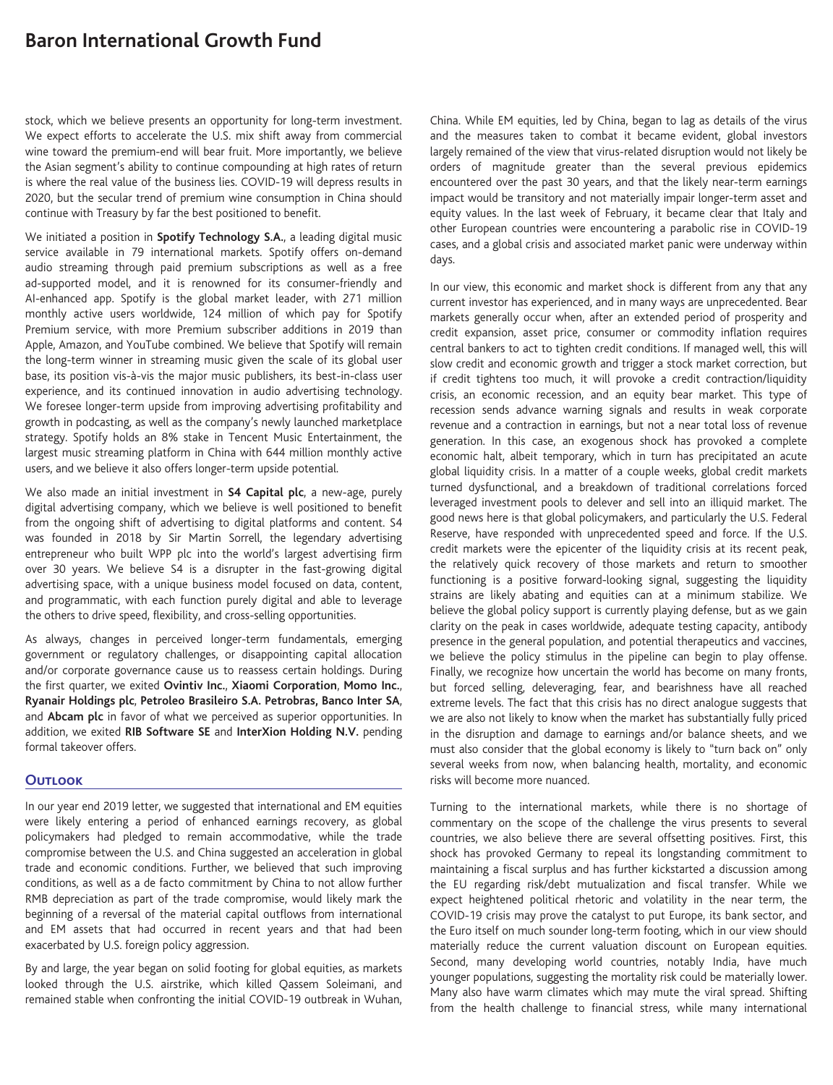# **Baron International Growth Fund**

stock, which we believe presents an opportunity for long-term investment. We expect efforts to accelerate the U.S. mix shift away from commercial wine toward the premium-end will bear fruit. More importantly, we believe the Asian segment's ability to continue compounding at high rates of return is where the real value of the business lies. COVID-19 will depress results in 2020, but the secular trend of premium wine consumption in China should continue with Treasury by far the best positioned to benefit.

We initiated a position in **Spotify Technology S.A.**, a leading digital music service available in 79 international markets. Spotify offers on-demand audio streaming through paid premium subscriptions as well as a free ad-supported model, and it is renowned for its consumer-friendly and AI-enhanced app. Spotify is the global market leader, with 271 million monthly active users worldwide, 124 million of which pay for Spotify Premium service, with more Premium subscriber additions in 2019 than Apple, Amazon, and YouTube combined. We believe that Spotify will remain the long-term winner in streaming music given the scale of its global user base, its position vis-à-vis the major music publishers, its best-in-class user experience, and its continued innovation in audio advertising technology. We foresee longer-term upside from improving advertising profitability and growth in podcasting, as well as the company's newly launched marketplace strategy. Spotify holds an 8% stake in Tencent Music Entertainment, the largest music streaming platform in China with 644 million monthly active users, and we believe it also offers longer-term upside potential.

We also made an initial investment in **S4 Capital plc**, a new-age, purely digital advertising company, which we believe is well positioned to benefit from the ongoing shift of advertising to digital platforms and content. S4 was founded in 2018 by Sir Martin Sorrell, the legendary advertising entrepreneur who built WPP plc into the world's largest advertising firm over 30 years. We believe S4 is a disrupter in the fast-growing digital advertising space, with a unique business model focused on data, content, and programmatic, with each function purely digital and able to leverage the others to drive speed, flexibility, and cross-selling opportunities.

As always, changes in perceived longer-term fundamentals, emerging government or regulatory challenges, or disappointing capital allocation and/or corporate governance cause us to reassess certain holdings. During the first quarter, we exited **Ovintiv Inc.**, **Xiaomi Corporation**, **Momo Inc.**, **Ryanair Holdings plc**, **Petroleo Brasileiro S.A. Petrobras, Banco Inter SA**, and **Abcam plc** in favor of what we perceived as superior opportunities. In addition, we exited **RIB Software SE** and **InterXion Holding N.V.** pending formal takeover offers.

# **Outlook**

In our year end 2019 letter, we suggested that international and EM equities were likely entering a period of enhanced earnings recovery, as global policymakers had pledged to remain accommodative, while the trade compromise between the U.S. and China suggested an acceleration in global trade and economic conditions. Further, we believed that such improving conditions, as well as a de facto commitment by China to not allow further RMB depreciation as part of the trade compromise, would likely mark the beginning of a reversal of the material capital outflows from international and EM assets that had occurred in recent years and that had been exacerbated by U.S. foreign policy aggression.

By and large, the year began on solid footing for global equities, as markets looked through the U.S. airstrike, which killed Qassem Soleimani, and remained stable when confronting the initial COVID-19 outbreak in Wuhan, China. While EM equities, led by China, began to lag as details of the virus and the measures taken to combat it became evident, global investors largely remained of the view that virus-related disruption would not likely be orders of magnitude greater than the several previous epidemics encountered over the past 30 years, and that the likely near-term earnings impact would be transitory and not materially impair longer-term asset and equity values. In the last week of February, it became clear that Italy and other European countries were encountering a parabolic rise in COVID-19 cases, and a global crisis and associated market panic were underway within days.

In our view, this economic and market shock is different from any that any current investor has experienced, and in many ways are unprecedented. Bear markets generally occur when, after an extended period of prosperity and credit expansion, asset price, consumer or commodity inflation requires central bankers to act to tighten credit conditions. If managed well, this will slow credit and economic growth and trigger a stock market correction, but if credit tightens too much, it will provoke a credit contraction/liquidity crisis, an economic recession, and an equity bear market. This type of recession sends advance warning signals and results in weak corporate revenue and a contraction in earnings, but not a near total loss of revenue generation. In this case, an exogenous shock has provoked a complete economic halt, albeit temporary, which in turn has precipitated an acute global liquidity crisis. In a matter of a couple weeks, global credit markets turned dysfunctional, and a breakdown of traditional correlations forced leveraged investment pools to delever and sell into an illiquid market. The good news here is that global policymakers, and particularly the U.S. Federal Reserve, have responded with unprecedented speed and force. If the U.S. credit markets were the epicenter of the liquidity crisis at its recent peak, the relatively quick recovery of those markets and return to smoother functioning is a positive forward-looking signal, suggesting the liquidity strains are likely abating and equities can at a minimum stabilize. We believe the global policy support is currently playing defense, but as we gain clarity on the peak in cases worldwide, adequate testing capacity, antibody presence in the general population, and potential therapeutics and vaccines, we believe the policy stimulus in the pipeline can begin to play offense. Finally, we recognize how uncertain the world has become on many fronts, but forced selling, deleveraging, fear, and bearishness have all reached extreme levels. The fact that this crisis has no direct analogue suggests that we are also not likely to know when the market has substantially fully priced in the disruption and damage to earnings and/or balance sheets, and we must also consider that the global economy is likely to "turn back on" only several weeks from now, when balancing health, mortality, and economic risks will become more nuanced.

Turning to the international markets, while there is no shortage of commentary on the scope of the challenge the virus presents to several countries, we also believe there are several offsetting positives. First, this shock has provoked Germany to repeal its longstanding commitment to maintaining a fiscal surplus and has further kickstarted a discussion among the EU regarding risk/debt mutualization and fiscal transfer. While we expect heightened political rhetoric and volatility in the near term, the COVID-19 crisis may prove the catalyst to put Europe, its bank sector, and the Euro itself on much sounder long-term footing, which in our view should materially reduce the current valuation discount on European equities. Second, many developing world countries, notably India, have much younger populations, suggesting the mortality risk could be materially lower. Many also have warm climates which may mute the viral spread. Shifting from the health challenge to financial stress, while many international